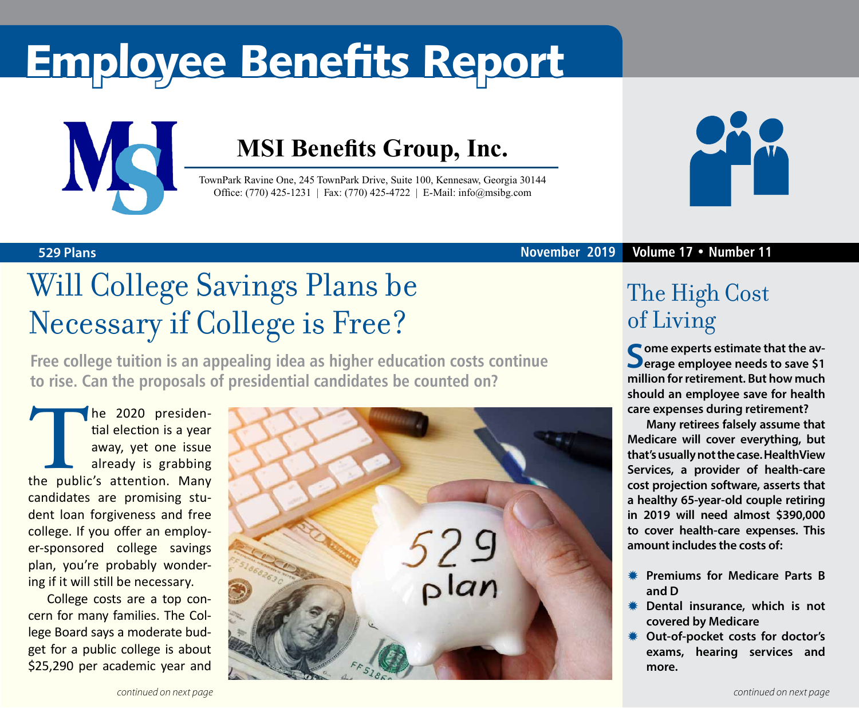# Employee Benefits Report



### **MSI Benefits Group, Inc.**

TownPark Ravine One, 245 TownPark Drive, Suite 100, Kennesaw, Georgia 30144 Office: (770) 425-1231 | Fax: (770) 425-4722 | E-Mail: info@msibg.com



**529 Plans November 2019 Volume 17 • Number 11**

## Will College Savings Plans be Necessary if College is Free?

**Free college tuition is an appealing idea as higher education costs continue to rise. Can the proposals of presidential candidates be counted on?**

The 2020 presidential election is a year<br>away, yet one issue<br>already is grabbing<br>the public's attention. Many tial election is a year away, yet one issue already is grabbing candidates are promising student loan forgiveness and free college. If you offer an employer-sponsored college savings plan, you're probably wondering if it will still be necessary.

College costs are a top concern for many families. The College Board says a moderate budget for a public college is about \$25,290 per academic year and



### The High Cost of Living

**C** ome experts estimate that the av**erage employee needs to save \$1 million for retirement. But how much should an employee save for health care expenses during retirement?**

**Many retirees falsely assume that Medicare will cover everything, but that's usually not the case. HealthView Services, a provider of health-care cost projection software, asserts that a healthy 65-year-old couple retiring in 2019 will need almost \$390,000 to cover health-care expenses. This amount includes the costs of:**

- **K** Premiums for Medicare Parts B **and D**
- **Dental insurance, which is not covered by Medicare**
- **Out-of-pocket costs for doctor's exams, hearing services and more.**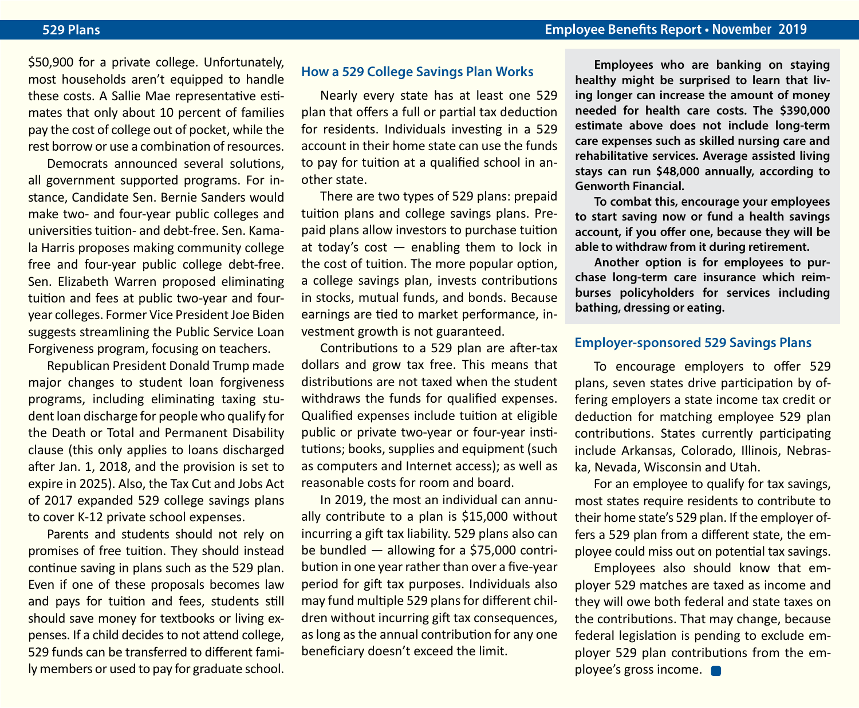\$50,900 for a private college. Unfortunately, most households aren't equipped to handle these costs. A Sallie Mae representative estimates that only about 10 percent of families pay the cost of college out of pocket, while the rest borrow or use a combination of resources.

Democrats announced several solutions, all government supported programs. For instance, Candidate Sen. Bernie Sanders would make two- and four-year public colleges and universities tuition- and debt-free. Sen. Kamala Harris proposes making community college free and four-year public college debt-free. Sen. Elizabeth Warren proposed eliminating tuition and fees at public two-year and fouryear colleges. Former Vice President Joe Biden suggests streamlining the Public Service Loan Forgiveness program, focusing on teachers.

Republican President Donald Trump made major changes to student loan forgiveness programs, including eliminating taxing student loan discharge for people who qualify for the Death or Total and Permanent Disability clause (this only applies to loans discharged after Jan. 1, 2018, and the provision is set to expire in 2025). Also, the Tax Cut and Jobs Act of 2017 expanded 529 college savings plans to cover K-12 private school expenses.

Parents and students should not rely on promises of free tuition. They should instead continue saving in plans such as the 529 plan. Even if one of these proposals becomes law and pays for tuition and fees, students still should save money for textbooks or living expenses. If a child decides to not attend college, 529 funds can be transferred to different family members or used to pay for graduate school.

#### **How a 529 College Savings Plan Works**

Nearly every state has at least one 529 plan that offers a full or partial tax deduction for residents. Individuals investing in a 529 account in their home state can use the funds to pay for tuition at a qualified school in another state.

There are two types of 529 plans: prepaid tuition plans and college savings plans. Prepaid plans allow investors to purchase tuition at today's  $cost$  — enabling them to lock in the cost of tuition. The more popular option, a college savings plan, invests contributions in stocks, mutual funds, and bonds. Because earnings are tied to market performance, investment growth is not guaranteed.

Contributions to a 529 plan are after-tax dollars and grow tax free. This means that distributions are not taxed when the student withdraws the funds for qualified expenses. Qualified expenses include tuition at eligible public or private two-year or four-year institutions; books, supplies and equipment (such as computers and Internet access); as well as reasonable costs for room and board.

In 2019, the most an individual can annually contribute to a plan is \$15,000 without incurring a gift tax liability. 529 plans also can be bundled — allowing for a \$75,000 contribution in one year rather than over a five-year period for gift tax purposes. Individuals also may fund multiple 529 plans for different children without incurring gift tax consequences, as long as the annual contribution for any one beneficiary doesn't exceed the limit.

**Employees who are banking on staying healthy might be surprised to learn that living longer can increase the amount of money needed for health care costs. The \$390,000 estimate above does not include long-term care expenses such as skilled nursing care and rehabilitative services. Average assisted living stays can run \$48,000 annually, according to Genworth Financial.**

**To combat this, encourage your employees to start saving now or fund a health savings account, if you offer one, because they will be able to withdraw from it during retirement.** 

**Another option is for employees to purchase long-term care insurance which reimburses policyholders for services including bathing, dressing or eating.**

#### **Employer-sponsored 529 Savings Plans**

To encourage employers to offer 529 plans, seven states drive participation by offering employers a state income tax credit or deduction for matching employee 529 plan contributions. States currently participating include Arkansas, Colorado, Illinois, Nebraska, Nevada, Wisconsin and Utah.

For an employee to qualify for tax savings, most states require residents to contribute to their home state's 529 plan. If the employer offers a 529 plan from a different state, the employee could miss out on potential tax savings.

Employees also should know that employer 529 matches are taxed as income and they will owe both federal and state taxes on the contributions. That may change, because federal legislation is pending to exclude employer 529 plan contributions from the employee's gross income.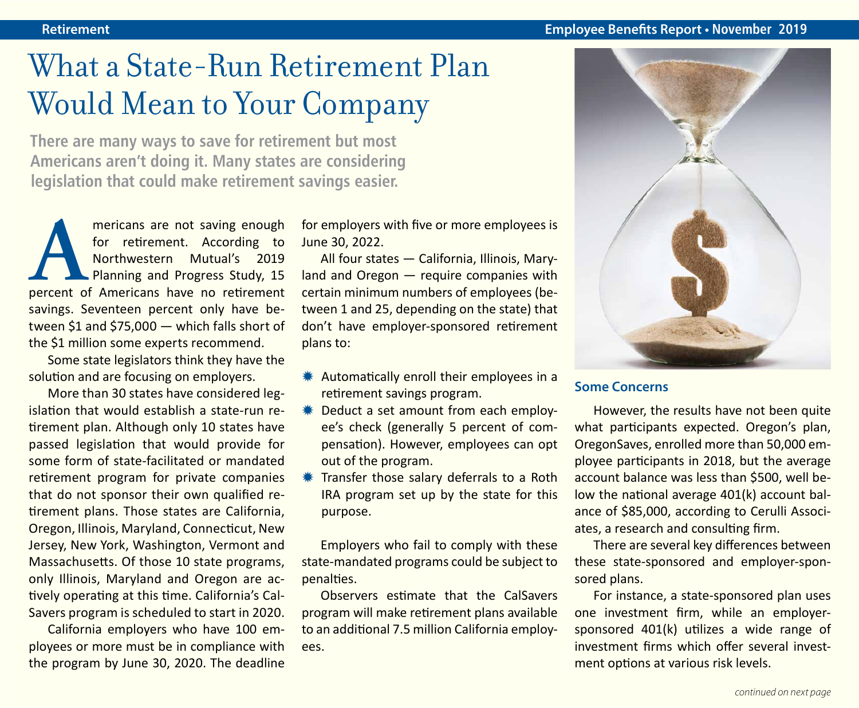### What a State-Run Retirement Plan Would Mean to Your Company

**There are many ways to save for retirement but most Americans aren't doing it. Many states are considering legislation that could make retirement savings easier.**

mericans are not saving enough<br>
for retirement. According to<br>
Northwestern Mutual's 2019<br>
Planning and Progress Study, 15<br>
percent of Americans have no retirement for retirement. According to Northwestern Mutual's 2019 Planning and Progress Study, 15 savings. Seventeen percent only have between \$1 and \$75,000 — which falls short of the \$1 million some experts recommend.

Some state legislators think they have the solution and are focusing on employers.

More than 30 states have considered legislation that would establish a state-run retirement plan. Although only 10 states have passed legislation that would provide for some form of state-facilitated or mandated retirement program for private companies that do not sponsor their own qualified retirement plans. Those states are California, Oregon, Illinois, Maryland, Connecticut, New Jersey, New York, Washington, Vermont and Massachusetts. Of those 10 state programs, only Illinois, Maryland and Oregon are actively operating at this time. California's Cal-Savers program is scheduled to start in 2020.

California employers who have 100 employees or more must be in compliance with the program by June 30, 2020. The deadline for employers with five or more employees is June 30, 2022.

All four states — California, Illinois, Maryland and Oregon — require companies with certain minimum numbers of employees (between 1 and 25, depending on the state) that don't have employer-sponsored retirement plans to:

- $*$  Automatically enroll their employees in a retirement savings program.
- **\#** Deduct a set amount from each employee's check (generally 5 percent of compensation). However, employees can opt out of the program.
- **\#** Transfer those salary deferrals to a Roth IRA program set up by the state for this purpose.

Employers who fail to comply with these state-mandated programs could be subject to penalties.

Observers estimate that the CalSavers program will make retirement plans available to an additional 7.5 million California employees.



#### **Some Concerns**

However, the results have not been quite what participants expected. Oregon's plan, OregonSaves, enrolled more than 50,000 employee participants in 2018, but the average account balance was less than \$500, well below the national average 401(k) account balance of \$85,000, according to Cerulli Associates, a research and consulting firm.

There are several key differences between these state-sponsored and employer-sponsored plans.

For instance, a state-sponsored plan uses one investment firm, while an employersponsored 401(k) utilizes a wide range of investment firms which offer several investment options at various risk levels.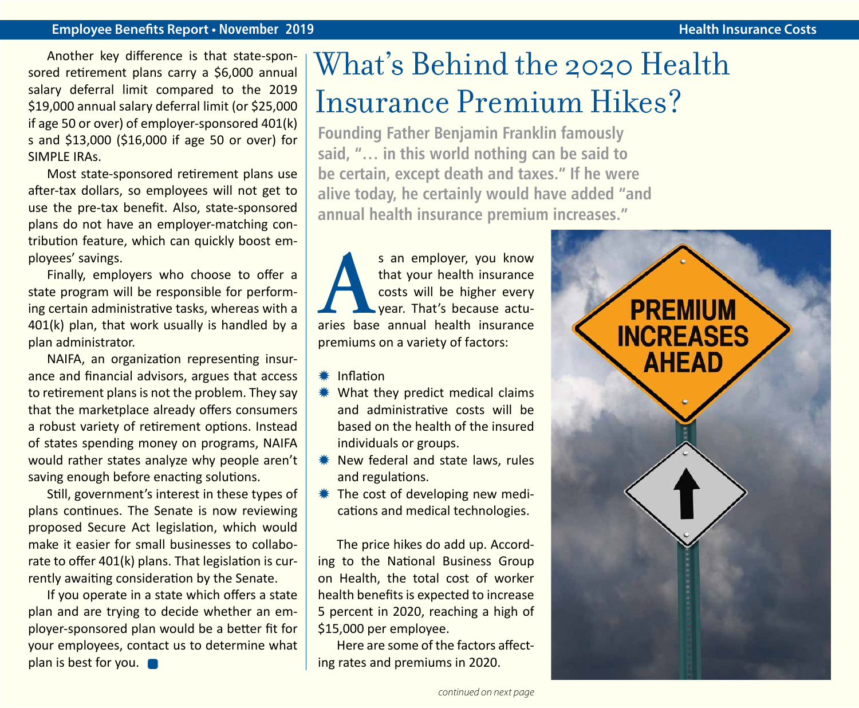#### **Employee Benefits Report • November 2019 Health Insurance Costs**

Another key difference is that state-sponsored retirement plans carry a \$6,000 annual salary deferral limit compared to the 2019 \$19,000 annual salary deferral limit (or \$25,000 if age 50 or over) of employer-sponsored 401(k) s and \$13,000 (\$16,000 if age 50 or over) for SIMPLE IRAs.

Most state-sponsored retirement plans use after-tax dollars, so employees will not get to use the pre-tax benefit. Also, state-sponsored plans do not have an employer-matching contribution feature, which can quickly boost employees' savings.

Finally, employers who choose to offer a state program will be responsible for performing certain administrative tasks, whereas with a 401(k) plan, that work usually is handled by a plan administrator.

NAIFA, an organization representing insurance and financial advisors, argues that access to retirement plans is not the problem. They say that the marketplace already offers consumers a robust variety of retirement options. Instead of states spending money on programs, NAIFA would rather states analyze why people aren't saving enough before enacting solutions.

Still, government's interest in these types of plans continues. The Senate is now reviewing proposed Secure Act legislation, which would make it easier for small businesses to collaborate to offer 401(k) plans. That legislation is currently awaiting consideration by the Senate.

If you operate in a state which offers a state plan and are trying to decide whether an employer-sponsored plan would be a better fit for your employees, contact us to determine what plan is best for you.

### What's Behind the 2020 Health Insurance Premium Hikes?

**Founding Father Benjamin Franklin famously said, "… in this world nothing can be said to be certain, except death and taxes." If he were alive today, he certainly would have added "and annual health insurance premium increases."**

s an employer, you know that your health insurance costs will be higher every year. That's because actuaries base annual health insurance that your health insurance costs will be higher every year. That's because actupremiums on a variety of factors:

- $*$  Inflation
- $*$  What they predict medical claims and administrative costs will be based on the health of the insured individuals or groups.
- $*$  New federal and state laws, rules and regulations.
- **\* The cost of developing new medi**cations and medical technologies.

The price hikes do add up. According to the National Business Group on Health, the total cost of worker health benefits is expected to increase 5 percent in 2020, reaching a high of \$15,000 per employee.

Here are some of the factors affecting rates and premiums in 2020.

**PREMIUM INCREASES AHEAD**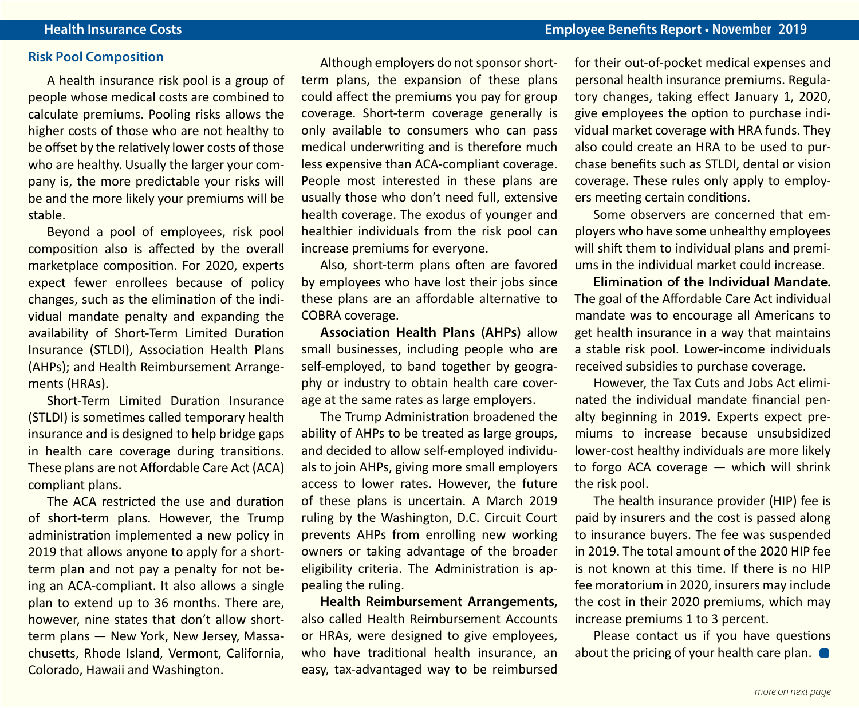#### **Risk Pool Composition**

A health insurance risk pool is a group of people whose medical costs are combined to calculate premiums. Pooling risks allows the higher costs of those who are not healthy to be offset by the relatively lower costs of those who are healthy. Usually the larger your company is, the more predictable your risks will be and the more likely your premiums will be stable.

Beyond a pool of employees, risk pool composition also is affected by the overall marketplace composition. For 2020, experts expect fewer enrollees because of policy changes, such as the elimination of the individual mandate penalty and expanding the availability of Short-Term Limited Duration Insurance (STLDI), Association Health Plans (AHPs); and Health Reimbursement Arrangements (HRAs).

Short-Term Limited Duration Insurance (STLDI) is sometimes called temporary health insurance and is designed to help bridge gaps in health care coverage during transitions. These plans are not Affordable Care Act (ACA) compliant plans.

The ACA restricted the use and duration of short-term plans. However, the Trump administration implemented a new policy in 2019 that allows anyone to apply for a shortterm plan and not pay a penalty for not being an ACA-compliant. It also allows a single plan to extend up to 36 months. There are, however, nine states that don't allow shortterm plans — New York, New Jersey, Massachusetts, Rhode Island, Vermont, California, Colorado, Hawaii and Washington.

Although employers do not sponsor shortterm plans, the expansion of these plans could affect the premiums you pay for group coverage. Short-term coverage generally is only available to consumers who can pass medical underwriting and is therefore much less expensive than ACA-compliant coverage. People most interested in these plans are usually those who don't need full, extensive health coverage. The exodus of younger and healthier individuals from the risk pool can increase premiums for everyone.

Also, short-term plans often are favored by employees who have lost their jobs since these plans are an affordable alternative to COBRA coverage.

**Association Health Plans (AHPs)** allow small businesses, including people who are self-employed, to band together by geography or industry to obtain health care coverage at the same rates as large employers.

The Trump Administration broadened the ability of AHPs to be treated as large groups, and decided to allow self-employed individuals to join AHPs, giving more small employers access to lower rates. However, the future of these plans is uncertain. A March 2019 ruling by the Washington, D.C. Circuit Court prevents AHPs from enrolling new working owners or taking advantage of the broader eligibility criteria. The Administration is appealing the ruling.

**Health Reimbursement Arrangements,**  also called Health Reimbursement Accounts or HRAs, were designed to give employees, who have traditional health insurance, an easy, tax-advantaged way to be reimbursed for their out-of-pocket medical expenses and personal health insurance premiums. Regulatory changes, taking effect January 1, 2020, give employees the option to purchase individual market coverage with HRA funds. They also could create an HRA to be used to purchase benefits such as STLDI, dental or vision coverage. These rules only apply to employers meeting certain conditions.

Some observers are concerned that employers who have some unhealthy employees will shift them to individual plans and premiums in the individual market could increase.

**Elimination of the Individual Mandate.**  The goal of the Affordable Care Act individual mandate was to encourage all Americans to get health insurance in a way that maintains a stable risk pool. Lower-income individuals received subsidies to purchase coverage.

However, the Tax Cuts and Jobs Act eliminated the individual mandate financial penalty beginning in 2019. Experts expect premiums to increase because unsubsidized lower-cost healthy individuals are more likely to forgo ACA coverage — which will shrink the risk pool.

The health insurance provider (HIP) fee is paid by insurers and the cost is passed along to insurance buyers. The fee was suspended in 2019. The total amount of the 2020 HIP fee is not known at this time. If there is no HIP fee moratorium in 2020, insurers may include the cost in their 2020 premiums, which may increase premiums 1 to 3 percent.

Please contact us if you have questions about the pricing of your health care plan.